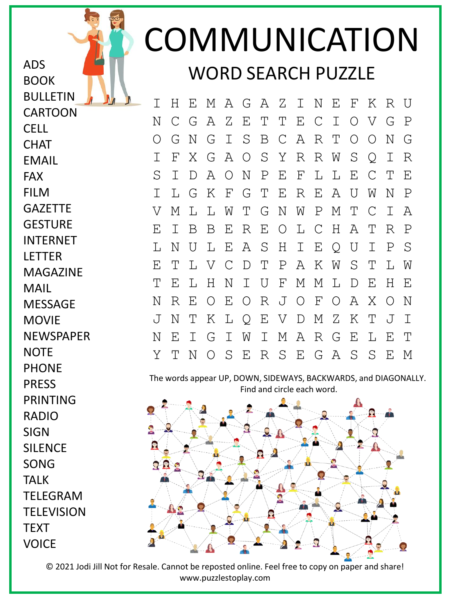## COMMUNICATION WORD SEARCH PUZZLE

I H E M A G A Z I N E F K R U N C G A Z E T T E C I O V G P O G N G I S B C A R T O O N G I F X G A O S Y R R W S Q I R S I D A O N P E F L L E C T E I L G K F G T E R E A U W N P V M L L W T G N W P M T C I A E I B B E R E O L C H A T R P L N U L E A S H I E Q U I P S E T L V C D T P A K W S T L W T E L H N I U F M M L D E H E N R E O E O R J O F O A X O N J N T K L Q E V D M Z K T J I N E I G I W I M A R G E L E T Y T N O S E R S E G A S S E M

The words appear UP, DOWN, SIDEWAYS, BACKWARDS, and DIAGONALLY. Find and circle each word.



**CHAT** EMAIL FAX FILM **GAZETTE GESTURE** INTERNET LETTER MAGAZINE MAIL **MESSAGE MOVIE** NEWSPAPER **NOTE** PHONE PRESS PRINTING RADIO **SIGN** SILENCE SONG TALK TELEGRAM **TELEVISION TEXT** VOICE

ADS

BOOK

CELL

BULLETIN CARTOON

© 2021 Jodi Jill Not for Resale. Cannot be reposted online. Feel free to copy on paper and share! www.puzzlestoplay.com